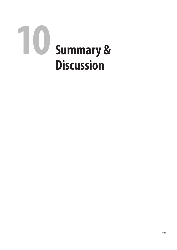# Summary &  **Discussion**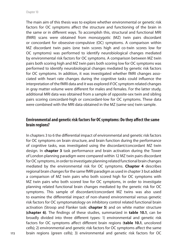The main aim of this thesis was to explore whether environmental or genetic risk factors for OC symptoms affect the structure and functioning of the brain in the same or in different ways. To accomplish this, structural and functional MRI (fMRI) scans were obtained from monozygotic (MZ) twin pairs discordant or concordant for obsessive-compulsive (OC) symptoms. A comparison within MZ discordant twin pairs (one twin scores high and co-twin scores low for OC symptoms) was performed to identify neurobiological changes mediated by environmental risk factors for OC symptoms. A comparison between MZ twin pairs both scoring high and MZ twin pairs both scoring low for OC symptoms was performed to identify neurobiological changes mediated by genetic risk factors for OC symptoms. In addition, it was investigated whether fMRI changes associated with heart rate changes during the cognitive tasks could influence the interpretation of the fMRI data and it was explored if OC symptom related changes in gray matter volume were different for males and females. For the latter study, additional MRI data was obtained from a sample of opposite-sex twin and sibling pairs scoring concordant-high or concordant-low for OC symptoms. These data were combined with the MRI data obtained in the MZ (same-sex) twin sample.

# **Environmental and genetic risk factors for OC symptoms: Do they affect the same brain regions?**

In chapters 3 to 6 the differential impact of environmental and genetic risk factors for OC symptoms on brain structure, and brain function during the performance of cognitive tasks, was investigated using the discordant/concordant MZ twin design. In **chapter 3** task performance and brain activation during the Tower of London planning paradigm were compared within 12 MZ twin pairs discordant for OC symptoms, in order to investigate planning related functional brain changes mediated by the environmental risk for OC symptoms. **Chapter 4** describes regional brain changes for the same fMRI paradigm as used in chapter 3 but added a comparison of MZ twin pairs who both scored high for OC symptoms with MZ twin pairs who both scored low for OC symptoms, in order to investigate planning related functional brain changes mediated by the genetic risk for OC symptoms. This sample of discordant/concordant MZ twins was also used to examine the differential impact of non-shared environmental versus genetic risk factors for OC symptomatology on inhibitory control related functional brain activation (Stroop and Flanker task: **chapter 5**) and on white matter structure **(chapter 6)**. The findings of these studies, summarized in **table 10.1**, can be broadly divided into three different types: 1) environmental and genetic risk factors for OC symptoms affect different brain regions (**table 10.1**, uncolored cells); 2) environmental and genetic risk factors for OC symptoms affect the same brain regions (green cells); 3) environmental and genetic risk factors for OC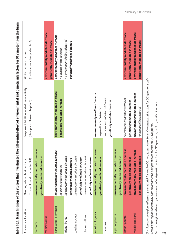|                         |                                                                                                                                                                                                                                       |                                            | Table 10.1. Main findings of the studies that investigated the differential effect of environmental and genetic risk factors for OC symptoms on the brain |
|-------------------------|---------------------------------------------------------------------------------------------------------------------------------------------------------------------------------------------------------------------------------------|--------------------------------------------|-----------------------------------------------------------------------------------------------------------------------------------------------------------|
| Anatomical location     | Planning related brain activity                                                                                                                                                                                                       | Response inhibition related brain activity | White matter structure                                                                                                                                    |
|                         | (Tower of London: chapter 3-4)                                                                                                                                                                                                        | (Stroop and Flanker: chapter 5)            | (fractional anisotropy: chapter 6)                                                                                                                        |
| premotor                | environmentally mediated decrease                                                                                                                                                                                                     |                                            |                                                                                                                                                           |
|                         | genetically mediated decrease                                                                                                                                                                                                         |                                            |                                                                                                                                                           |
| medial frontal          |                                                                                                                                                                                                                                       |                                            | environmentally mediated decrease                                                                                                                         |
|                         |                                                                                                                                                                                                                                       |                                            | genetically mediated increase                                                                                                                             |
| dorsolateral prefrontal | environmentally mediated decrease                                                                                                                                                                                                     | environmentally mediated increase          | environmentally mediated increase                                                                                                                         |
|                         | no genetic effects detected                                                                                                                                                                                                           | genetically mediated increase              | no genetic effects detected                                                                                                                               |
| inferior frontal        | no environmental effects detected                                                                                                                                                                                                     |                                            | no environmental effects detected                                                                                                                         |
|                         | genetically mediated increase                                                                                                                                                                                                         |                                            | genetically mediated decrease                                                                                                                             |
| caudate nucleus         | no environmental effects detected                                                                                                                                                                                                     |                                            |                                                                                                                                                           |
|                         | genetically mediated decrease                                                                                                                                                                                                         |                                            |                                                                                                                                                           |
| globus pallidus         | no environmental effects detected                                                                                                                                                                                                     |                                            |                                                                                                                                                           |
|                         | genetically mediated decrease                                                                                                                                                                                                         |                                            |                                                                                                                                                           |
| anterior cingulate      | environmentally mediated increase                                                                                                                                                                                                     | environmentally mediated increase          |                                                                                                                                                           |
|                         | genetically mediated increase                                                                                                                                                                                                         | no genetic effects detected                |                                                                                                                                                           |
| thalamus                |                                                                                                                                                                                                                                       | no environmental effects detected          |                                                                                                                                                           |
|                         |                                                                                                                                                                                                                                       | genetically mediated increase              |                                                                                                                                                           |
| superior parietal       | environmentally mediated decrease                                                                                                                                                                                                     |                                            |                                                                                                                                                           |
|                         | genetically mediated decrease                                                                                                                                                                                                         |                                            |                                                                                                                                                           |
| inferior parietal       | environmentally mediated decrease                                                                                                                                                                                                     | no environmental effects detected          | environmentally mediated decrease                                                                                                                         |
|                         | genetically mediated increase                                                                                                                                                                                                         | genetically mediated increase              | genetically mediated increase                                                                                                                             |
| middle temporal         | environmentally mediated increase                                                                                                                                                                                                     | environmentally mediated increase          | environmentally mediated decrease                                                                                                                         |
|                         | genetically mediated decrease                                                                                                                                                                                                         | no genetic effects detected                | genetically mediated increase                                                                                                                             |
|                         | Uncolored: brain regions affected by genetic risk factors for OC symptoms only or by environmental risk factors for OC symptoms only.<br>Green: brain regions affected by both environmental and genetic risk factors for OC symptoms |                                            |                                                                                                                                                           |

Red: brain regions affected by environmental and genetic risk factors for OC symptoms, but in opposite directions. *Red: brain regions affected by environmental and genetic risk factors for OC symptoms, but in opposite directions.* Green: brain regions affected by both environmental and genetic risk factors for OC symptoms. *Green: brain regions affected by both environmental and genetic risk factors for OC symptoms.*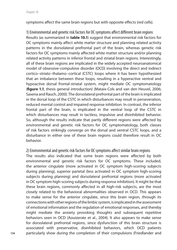symptoms affect the same brain regions but with opposite effects (red cells).

1) Environmental and genetic risk factors for OC symptoms affect different brain regions Results (as summarized in **table 10.1**) suggest that environmental risk factors for OC symptoms mainly affect white matter structure and planning related activity patterns in the dorsolateral prefrontal part of the brain, whereas genetic risk factors for OC symptoms mainly affected white matter structure and/or planning related activity patterns in inferior frontal and striatal brain regions. Interestingly, all of these brain regions are implicated in the widely accepted neuroanatomical model of obsessive-compulsive disorder (OCD) involving the direct and indirect cortico–striato–thalamo–cortical (CSTC) loops where it has been hypothesized that an imbalance between these loops, resulting in a hyperactive ventral and hypoactive dorsal frontal-striatal system, might mediate OC symptomatology (**figure 1.1**, thesis general introduction) (Mataix-Cols and van den Heuvel, 2006; Saxena and Rauch, 2000). The dorsolateral prefrontal part of the brain is implicated in the dorsal loop of the CSTC in which disturbances may result in perseveration, reduced mental control and impaired response inhibition. In contrast, the inferior frontal part of the brain, is implicated in the ventral loop of the CSTC in which disturbances may result in tactless, impulsive and disinhibited behavior. So, although the results indicate that partly different regions were affected by environmental and genetic risk factors for OC symptomatology, both classes of risk factors strikingly converge on the dorsal and ventral CSTC loops, and a disturbance in either one of these brain regions could therefore result in OC behavior.

2) Environmental and genetic risk factors for OC symptoms affect similar brain regions

The results also indicated that some brain regions were affected by both environmental and genetic risk factors for OC symptoms. These included, the anterior cingulate (more activated in OC symptom high-scoring subjects during planning), superior parietal (less activated in OC symptom high-scoring subjects during planning) and dorsolateral prefrontal regions (more activated in OC symptom high-scoring subjects during response inhibition). It might be that these brain regions, commonly affected in all high-risk subjects, are the most closely related to the behavioral abnormalities observed in OCD. This appears to make sense for the anterior cingulate, since this brain region, through its connections with other regions of the limbic system, is implicated in the assessment of emotional information and the regulation of emotional responses, and thereby might mediate the anxiety provoking thoughts and subsequent repetitive behaviors seen in OCD (Aouizerate et al., 2004). It also appears to make sense for dorsolateral prefrontal regions, since dysfunction of this brain structure is associated with preservative, disinhibited behaviors, which OCD patients particularly show during the completion of their compulsions (Friedlander and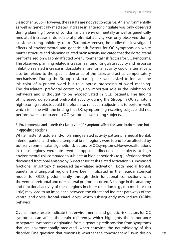Desrocher, 2006). However, the results are not yet conclusive. An environmentally as well as genetically mediated increase in anterior cingulate was only observed during planning (Tower of London) and an environmentally as well as genetically mediated increase in dorsolateral prefrontal activity was only observed during a task measuring inhibitory control (Stroop). Moreover, the studies that investigated effects of environmental and genetic risk factors for OC symptoms on white matter structure and planning related brain activity indicated that the dorsolateral prefrontal region was only affected by environmental risk factors for OC symptoms. The observed planning related increase in anterior cingulate activity and response inhibition related increase in dorsolateral prefrontal activity could, alternatively, also be related to the specific demands of the tasks and act as compensatory mechanisms. During the Stroop task participants were asked to indicate the ink color of a printed word but to suppress processing of word meaning. The dorsolateral prefrontal cortex plays an important role in the inhibition of behaviors and is thought to be hypoactivated in OCD patients. The finding of increased dorsolateral prefrontal activity during the Stroop in OC symptom high-scoring subjects could therefore also reflect an adjustment to perform well, which is in line with the finding that OC symptom high-scoring subjects did not perform worse compared to OC symptom low-scoring subjects.

3) Environmental and genetic risk factors for OC symptoms affect the same brain regions but in opposite directions

White matter structure and/or planning related activity patterns in medial frontal, inferior parietal and middle temporal brain regions were found to be affected by both environmental and genetic risk factors for OC symptoms. However, alterations in these regions were observed in opposite directions in subjects at high environmental risk compared to subjects at high genetic risk (e.g., inferior parietal: decreased fractional anisotropy & decreased task-related activation vs. increased fractional anisotropy & increased task-related activation). Both medial frontal, parietal and temporal regions have been implicated in the neuroanatomical model for OCD, predominantly through their functional connections with the ventral prefrontal and dorsolateral prefrontal cortex. A change in the anatomy and functional activity of these regions in either direction (e.g., too much or too little) may lead to an imbalance between the direct and indirect pathways of the ventral and dorsal frontal-sriatal loops, which subsequently may induce OC-like behavior.

Overall, these results indicate that environmental and genetic risk factors for OC symptoms can affect the brain differently, which highlights the importance to separate symptoms originating from a genetic predisposition from symptoms that are environmentally mediated, when studying the neurobiology of this disorder. One question that remains is whether the concordant MZ twin design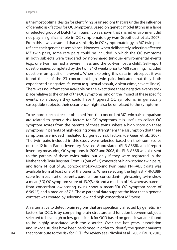is the most optimal design for identifying brain regions that are under the influence of genetic risk factors for OC symptoms. Based on genetic model fitting in a large unselected group of Dutch twin pairs, it was shown that shared environment did not play a significant role in OC symptomatology (van Grootheest et al., 2007). From this it was assumed that a similarity in OC symptomatology in MZ twin pairs reflects their genetic resemblance. However, when deliberately selecting affected MZ twin pairs, some rare pairs could be included in which the OC symptoms in both subjects were triggered by non-shared (unique) environmental events (e.g., one twin has had a severe illness and the co-twin lost a child). Self-report questionnaires completed by the twins 1-3 weeks prior to MRI scanning, included questions on specific life-events. When exploring this data in retrospect it was found that 4 of the 23 concordant-high twin pairs indicated that they both experienced a negative life-event (e.g., sexual assault, violent crime, severe illness). There was no information available on the exact time these negative events took place relative to the onset of the OC symptoms, and on the impact of these specific events, so although they could have triggered OC symptoms, in genetically susceptible subjects, their occurrence might also be unrelated to the symptoms.

To be more sure that results obtained from the concordant MZ twin pair comparison are related to genetic risk factors for OC symptoms it is useful to collect OC symptom scores from the parents of these twins, where a high score on these symptoms in parents of high-scoring twins strengthens the assumption that these symptoms are indeed mediated by genetic risk factors (de Geus et al., 2007). The twin pairs included in this study were selected based on their sum scores on the 12-item Padua Inventory Revised Abbreviated (PI-R-ABBR), a self-report inventory measuring OC symptoms. In 2002 and 2008, the PI-R-ABBR was also sent to the parents of these twins pairs, but only if they were registered in the Netherlands Twin Register. From 13 (out of 23) concordant-high-scoring twin pairs, and from 14 (out of 28) concordant-low-scoring twin pairs, PI-R-ABBR data was available from at least one of the parents. When selecting the highest PI-R-ABBR score from each set of parents, parents from concordant-high-scoring twins show a mean(SD) OC symptom score of 13.9(3.46) and a median of 14, whereas parents from concordant-low-scoring twins show a mean(SD) OC symptom score of 8.5(5.13) and a median of 7.5. These parental data support the idea that a genetic contrast was created by selecting low and high concordant MZ twins.

An alternative to detect brain regions that are specifically affected by genetic risk factors for OCD, is by comparing brain structure and function between subjects selected to be at high or low genetic risk for OCD based on genetic variants found to be highly associated with the disorder. Over the last years, association and linkage studies have been performed in order to identify the genetic variants that contribute to the risk for OCD [for review see (Nicolini et al., 2009; Pauls, 2010;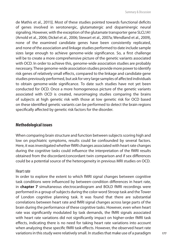de Mathis et al., 2011)]. Most of these studies pointed towards functional deficits of genes involved in serotonergic, glutamatergic and dopaminergic neural signaling. However, with the exception of the glutamate transporter gene SLCL1A1 (Arnold et al., 2006; Dickel et al., 2006; Stewart et al., 2007a; Wendland et al., 2009), none of the examined candidate genes have been consistently replicated, and none of the association and linkage studies performed to date include sample sizes large enough to achieve genome-wide significance. So, a first challenge will be to create a more comprehensive picture of the genetic variants associated with OCD. In order to achieve this, genome-wide association studies are probably necessary. These genome-wide association studies provide more power to identify risk genes of relatively small effects, compared to the linkage and candidate gene studies previously performed, but ask for very large samples of affected individuals to obtain genome-wide significance. To date such studies have not yet been conducted for OCD. Once a more homogeneous picture of the genetic variants associated with OCD is created, neuroimaging studies comparing the brains of subjects at high genetic risk with those at low genetic risk for OCD based on these identified genetic variants can be performed to detect the brain regions specifically affected by genetic risk factors for the disorder.

### **Methodological issues**

When comparing brain structure and function between subjects scoring high and low on psychiatric symptoms, results could be confounded by several factors. Here, it was investigated whether fMRI changes associated with heart rate changes during the cognitive tasks could influence the interpretation of the fMRI results obtained from the discordant/concordant twin comparison and if sex differences could be a potential source of the heterogeneity in previous MRI studies on OCD.

### Heart rate

In order to explore the extent to which fMRI signal changes between cognitive task conditions were influenced by between-condition differences in heart rate, in **chapter 7** simultaneous electrocardiogram and BOLD fMRI recordings were performed in a group of subjects during the color-word Stroop task and the Tower of London cognitive planning task. It was found that there are substantial correlations between heart rate and fMRI signal changes across large parts of the brain during the performance of these cognitive tasks. However, even when heart rate was significantly modulated by task demands, the fMRI signals associated with heart rate variations did not significantly impact on higher-order fMRI task effects, indicating there is no need for taking heart rate variations into account when analyzing these specific fMRI task effects. However, the observed heart rate variations in this study were relatively small. In studies that make use of a paradigm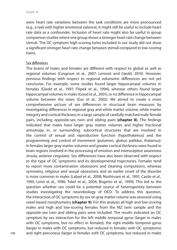were heart rate variations between the task conditions are more pronounced (e.g., a task with higher emotional valence), it might still be useful to include heart rate data as a confounder. Inclusion of heart rate might also be useful in group comparison studies where one group shows a stronger heart rate change between stimuli. The OC symptom high-scoring twins included in our study did not show a significant stronger heart rate change between stimuli compared to low-scoring twins.

#### Sex differences

The brains of males and females are different with respect to global as well as regional volumes (Cosgrove et al., 2007; Lenroot and Giedd, 2010). However, previous findings with respect to regional volumetric differences are not yet conclusive. For example, some studies found larger hippocampal volumes in females (Giedd et al., 1997; Filipek et al., 1994), whereas others found larger hippocampal volumes in males (Good et al., 2001), or no difference in hippocampal volume between the sexes (Gur et al., 2002). We aimed to create a more comprehensive picture of sex differences in structural brain measures by investigating differences in regional gray and white matter volume, white matter integrity and cortical thickness in a large sample of carefully matched male-female pairs, including opposite-sex twin and sibling pairs **(chapter 8)**. The findings indicated that males have larger gray matter volumes and higher fractional anisotropy in, or surrounding, subcortical structures that are involved in the control of sexual and reproductive function (hypothalamus) and the programming and control of movement (putamen, globus pallidus, thalamus). In females larger gray matter volumes and greater cortical thickness were found in brain regions involved in the processing of emotion and interoceptive awareness (insula, anterior cingulate). Sex differences have also been observed with respect to the type of OC symptoms and its developmental trajectories. Females tend to report more contamination obsessions and cleaning compulsions, whereas symmetry, religious and sexual obsessions and an earlier onset of the disorder is more common in males (Labad et al., 2008; Noshirvani et al., 1991; Castle et al., 1995; Lensi et al., 1996; Tukel et al., 2004; Bogetto et al., 1999). This led to the question whether sex could be a potential source of heterogeneity between studies investigating the neurobiology of OCD. To address this question, the interaction of OC symptoms by sex on gray matter volume was assessed using voxel-based morphometry **(chapter 9)**. For this analysis all high and low-scoring males and high and low-scoring females from the MZ twin sample and the opposite-sex twin and sibling pairs were included. The results indicated an OC symptom by sex interaction for the left middle temporal gyrus (larger in males with OC symptoms, but no effect in females), the right middle temporal gyrus (larger in males with OC symptoms, but reduced in females with OC symptoms) and right precuneus (larger in females with OC symptoms, but reduced in males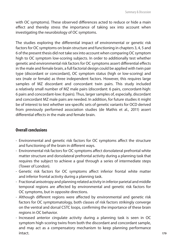with OC symptoms). These observed differences acted to reduce or hide a main effect and thereby stress the importance of taking sex into account when investigating the neurobiology of OC symptoms.

The studies exploring the differential impact of environmental or genetic risk factors for OC symptoms on brain structure and functioning in chapters 3, 4, 5 and 6 of the present thesis did not take sex into account when comparing OC symptom high to OC symptom low-scoring subjects. In order to additionally test whether genetic and environmental risk factors for OC symptoms assert differential effects in the male and female brain, a full factorial design could be applied with twin pair type (discordant or concordant), OC symptom status (high or low-scoring) and sex (male or female) as three independent factors. However, this requires large samples of MZ discordant and concordant twin pairs. This study included a relatively small number of MZ male pairs (discordant: 6 pairs, concordant-high: 6 pairs and concordant-low: 8 pairs). Thus, larger samples of, especially, discordant and concordant MZ male pairs are needed. In addition, for future studies it might be of interest to test whether sex-specific sets of genetic variants for OCD derived from previously performed association studies (de Mathis et al., 2011) assert differential effects in the male and female brain.

# **Overall conclusions**

- Environmental and genetic risk factors for OC symptoms affect the structure and functioning of the brain in different ways.
- Environmental risk factors for OC symptoms affect dorsolateral prefrontal white matter structure and dorsolateral prefrontal activity during a planning task that requires the subject to achieve a goal through a series of intermediate steps (Tower of London).
- Genetic risk factors for OC symptoms affect inferior frontal white matter and inferior frontal activity during a planning task.
- Fractional anisotropy and planning related activity in inferior parietal and middle temporal regions are affected by environmental and genetic risk factors for OC symptoms, but in opposite directions.
- Although different regions were affected by environmental and genetic risk factors for OC symptomatology, both classes of risk factors strikingly converge on the ventral and dorsal CSTC loops, confirming the importance of these brain regions in OC behavior.
- Increased anterior cingulate activity during a planning task is seen in OC symptom high-scoring twins from both the discordant and concordant sample, and may act as a compensatory mechanism to keep planning performance intact.